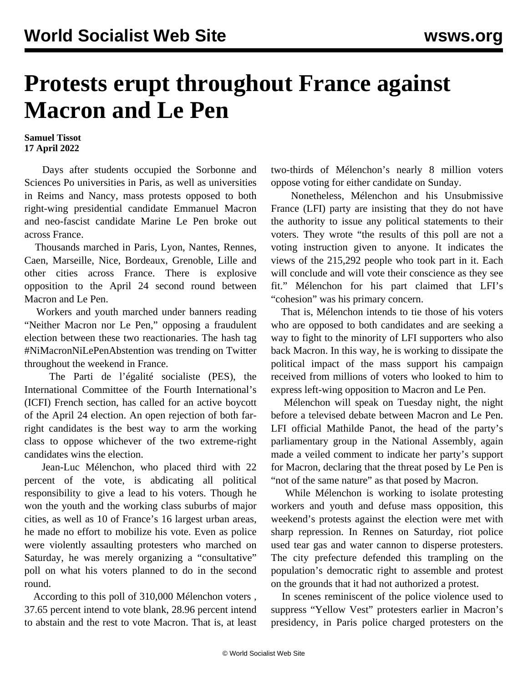## **Protests erupt throughout France against Macron and Le Pen**

## **Samuel Tissot 17 April 2022**

 Days after students occupied the Sorbonne and Sciences Po universities in Paris, as well as universities in Reims and Nancy, mass protests opposed to both right-wing presidential candidate Emmanuel Macron and neo-fascist candidate Marine Le Pen broke out across France.

 Thousands marched in Paris, Lyon, Nantes, Rennes, Caen, Marseille, Nice, Bordeaux, Grenoble, Lille and other cities across France. There is explosive opposition to the April 24 second round between Macron and Le Pen.

 Workers and youth marched under banners reading "Neither Macron nor Le Pen," opposing a fraudulent election between these two reactionaries. The hash tag #NiMacronNiLePenAbstention was trending on Twitter throughout the weekend in France.

 The Parti de l'égalité socialiste (PES), the International Committee of the Fourth International's (ICFI) French section, has called for an active boycott of the April 24 election. An open rejection of both farright candidates is the best way to arm the working class to oppose whichever of the two extreme-right candidates wins the election.

 Jean-Luc Mélenchon, who placed third with 22 percent of the vote, is abdicating all political responsibility to give a lead to his voters. Though he won the youth and the working class suburbs of major cities, as well as 10 of France's 16 largest urban areas, he made no effort to mobilize his vote. Even as police were violently assaulting protesters who marched on Saturday, he was merely organizing a "consultative" poll on what his voters planned to do in the second round.

 According to this poll of 310,000 Mélenchon voters *,* 37.65 percent intend to vote blank, 28.96 percent intend to abstain and the rest to vote Macron. That is, at least two-thirds of Mélenchon's nearly 8 million voters oppose voting for either candidate on Sunday.

 Nonetheless, Mélenchon and his Unsubmissive France (LFI) party are insisting that they do not have the authority to issue any political statements to their voters. They wrote "the results of this poll are not a voting instruction given to anyone. It indicates the views of the 215,292 people who took part in it. Each will conclude and will vote their conscience as they see fit." Mélenchon for his part claimed that LFI's "cohesion" was his primary concern.

 That is, Mélenchon intends to tie those of his voters who are opposed to both candidates and are seeking a way to fight to the minority of LFI supporters who also back Macron. In this way, he is working to dissipate the political impact of the mass support his campaign received from millions of voters who looked to him to express left-wing opposition to Macron and Le Pen.

 Mélenchon will speak on Tuesday night, the night before a televised debate between Macron and Le Pen. LFI official Mathilde Panot, the head of the party's parliamentary group in the National Assembly, again made a veiled comment to indicate her party's support for Macron, declaring that the threat posed by Le Pen is "not of the same nature" as that posed by Macron.

 While Mélenchon is working to isolate protesting workers and youth and defuse mass opposition, this weekend's protests against the election were met with sharp repression. In Rennes on Saturday, riot police used tear gas and water cannon to disperse protesters. The city prefecture defended this trampling on the population's democratic right to assemble and protest on the grounds that it had not authorized a protest.

 In scenes reminiscent of the police violence used to suppress "Yellow Vest" protesters earlier in Macron's presidency, in Paris police charged protesters on the